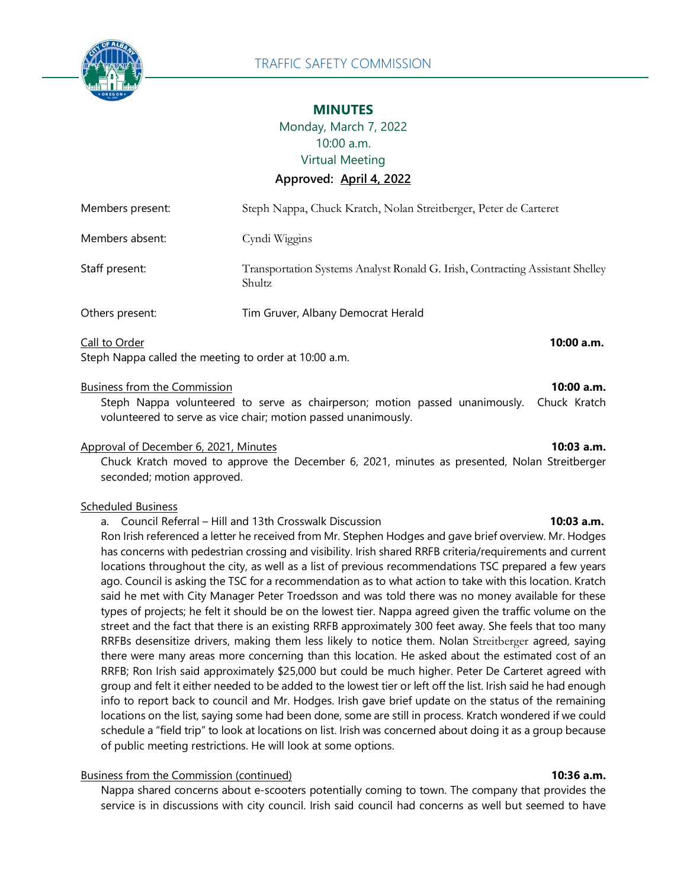

# **MINUTES**

Monday, March 7, 2022 10:00 a.m. Virtual Meeting

**Approved: April 4, 2022**

| Steph Nappa called the meeting to order at 10:00 a.m. |                                                                                        |  |
|-------------------------------------------------------|----------------------------------------------------------------------------------------|--|
| Call to Order                                         | 10:00 a.m.                                                                             |  |
| Others present:                                       | Tim Gruver, Albany Democrat Herald                                                     |  |
| Staff present:                                        | Transportation Systems Analyst Ronald G. Insh, Contracting Assistant Shelley<br>Shultz |  |
| Members absent:                                       | Cyndi Wiggins                                                                          |  |
| Members present:                                      | Steph Nappa, Chuck Kratch, Nolan Streitberger, Peter de Carteret                       |  |

### Business from the Commission **10:00 a.m.**

Steph Nappa volunteered to serve as chairperson; motion passed unanimously. Chuck Kratch volunteered to serve as vice chair; motion passed unanimously.

# Approval of December 6, 2021, Minutes **10:03 a.m.**

Chuck Kratch moved to approve the December 6, 2021, minutes as presented, Nolan Streitberger seconded; motion approved.

### Scheduled Business

### a. Council Referral – Hill and 13th Crosswalk Discussion **10:03 a.m.**

Ron Irish referenced a letter he received from Mr. Stephen Hodges and gave brief overview. Mr. Hodges has concerns with pedestrian crossing and visibility. Irish shared RRFB criteria/requirements and current locations throughout the city, as well as a list of previous recommendations TSC prepared a few years ago. Council is asking the TSC for a recommendation as to what action to take with this location. Kratch said he met with City Manager Peter Troedsson and was told there was no money available for these types of projects; he felt it should be on the lowest tier. Nappa agreed given the traffic volume on the street and the fact that there is an existing RRFB approximately 300 feet away. She feels that too many RRFBs desensitize drivers, making them less likely to notice them. Nolan Streitberger agreed, saying there were many areas more concerning than this location. He asked about the estimated cost of an RRFB; Ron Irish said approximately \$25,000 but could be much higher. Peter De Carteret agreed with group and felt it either needed to be added to the lowest tier or left off the list. Irish said he had enough info to report back to council and Mr. Hodges. Irish gave brief update on the status of the remaining locations on the list, saying some had been done, some are still in process. Kratch wondered if we could schedule a "field trip" to look at locations on list. Irish was concerned about doing it as a group because of public meeting restrictions. He will look at some options.

# Business from the Commission (continued) **10:36 a.m.**

Nappa shared concerns about e-scooters potentially coming to town. The company that provides the service is in discussions with city council. Irish said council had concerns as well but seemed to have